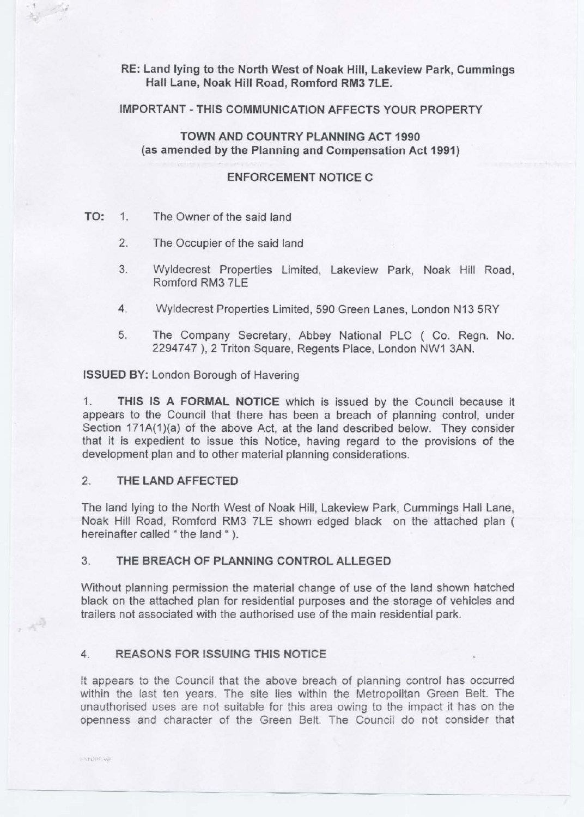## **RE: Land lying to the North West of Noak Hill, Lakeview Park, Cummings Hall Lane, Noak Hill Road, Romford RM3 7LE.**

#### **IMPORTANT** - **THIS COMMUNICATION AFFECTS YOUR PROPERTY**

**TOWN AND COUNTRY PLANNING ACT 1990 (as amended by the Planning and Compensation Act 1991)** 

### **ENFORCEMENT NOTICE C**

#### **TO:** 1. The Owner of the said land

• f *i* 

 $\mathcal{A}^{\tilde{Q}}$ 

**ENFLINGED** 

- 2. The Occupier of the said land
- 3. Wyldecrest Properties Limited, Lakeview Park, Noak Hill Road, Romford RM3 7LE
- 4. Wyldecrest Properties Limited, 590 Green Lanes, London N13 5RY
- 5. The Company Secretary, Abbey National PLC ( Co. Regn. No. 2294747 ), 2 Triton Square, Regents Place, London NW1 3AN.

#### **ISSUED BY:** London Borough of Havering

1. **THIS IS A FORMAL NOTICE** which is issued by the Council because it appears to the Council that there has been a breach of planning control, under Section 171A(1)(a) of the above Act, at the land described below. They consider that it is expedient to issue this Notice, having regard to the provisions of the development plan and to other material planning considerations.

## 2. **THE LAND AFFECTED**

The land lying to the North West of Noak Hill, Lakeview Park, Cummings Hall Lane, Noak Hill Road, Romford RM3 ?LE shown edged black on the attached plan ( hereinafter called " the land " ).

#### 3. **THE BREACH OF PLANNING CONTROL ALLEGED**

Without planning permission the material change of use of the land shown hatched black on the attached plan for residential purposes and the storage of vehicles and trailers not associated with the authorised use of the main residential park.

## 4. **REASONS FOR lSSUING THIS NOTICE**

It appears to the Council that the above breach of planning control has occurred within the last ten years. The site lies within the Metropolitan Green Belt. The unauthorised uses are not suitable for this area owing to the impact it has on the openness and character of the Green Belt. The Council do not consider that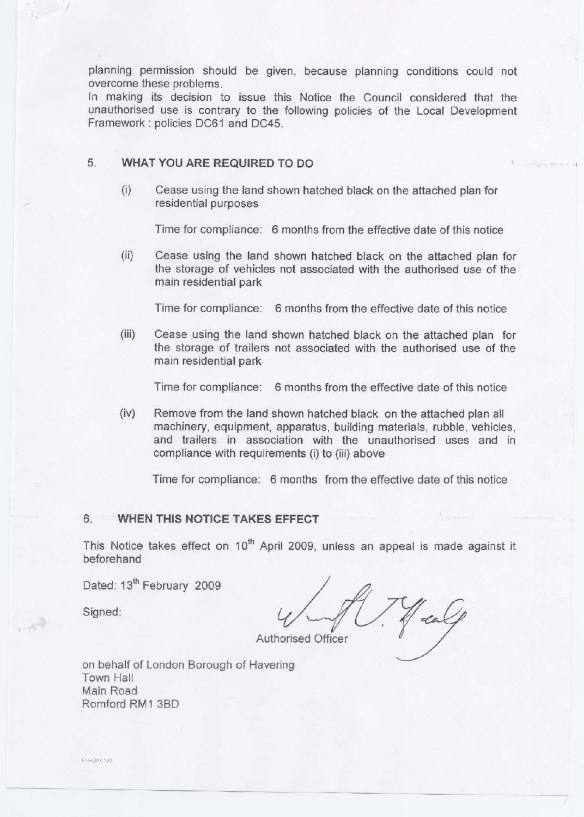planning permission should be given, because planning conditions could not overcome these problems.

In making its decision to issue this Notice the Council considered that the unauthorised use is contrary to the following policies of the Local Development Framework : policies DC61 and DC45.

# 5. **WHAT YOU ARE REQUIRED TO DO**

(i) Cease using the land shown hatched black on the attached plan for residential purposes

Time for compliance: 6 months from the effective date of this notice

(ii) Cease using the land shown hatched black on the attached plan for the storage of vehicles not associated with the authorised use of the main residential park

Time for compliance: 6 months from the effective date of this notice

(iii) Cease using the land shown hatched black on the attached plan for the storage of trailers not associated with the authorised use of the main residential park

Time for compliance: 6 months from the effective date of this notice

(iv) Remove from the land shown hatched black on the attached plan all machinery, equipment, apparatus, building materials, rubble, vehicles, and trailers in association with the unauthorised uses and in compliance with requirements (i) to (iii) above

Time for compliance: 6 months from the effective date of this notice

### 6. **WHEN THIS NOTICE TAKES EFFECT**

This Notice takes effect on  $10<sup>th</sup>$  April 2009, unless an appeal is made against it beforehand

Dated: 13<sup>th</sup> February 2009

Signed:

一个

Jeal **Authorised Officer** 

on behalf of London Borough of Havering Town Hall Main Road Romford RM1 380

**ENFORCING**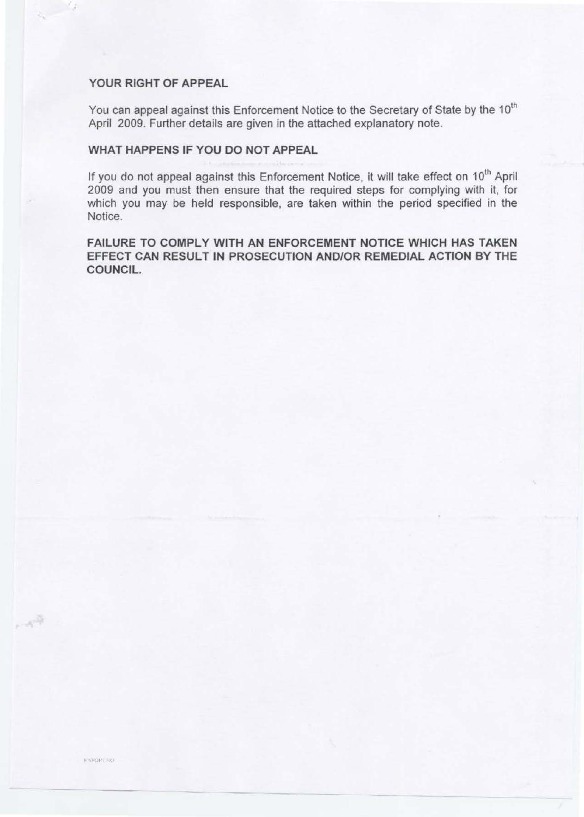## **YOUR RIGHT OF APPEAL**

You can appeal against this Enforcement Notice to the Secretary of State by the 10<sup>th</sup> April 2009. Further details are given in the attached explanatory note.

## **WHAT HAPPENS IF YOU DO NOT APPEAL**

If you do not appeal against this Enforcement Notice, it will take effect on 10<sup>th</sup> April 2009 and you must then ensure that the required steps for complying with it, for which you may be held responsible, are taken within the period specified in the Notice.

**FAILURE TO COMPLY WITH AN ENFORCEMENT NOTICE WHICH HAS TAKEN EFFECT CAN RESULT IN PROSECUTION AND/OR REMEDIAL ACTION BY THE COUNCIL.** 

 $\sim$   $\sim$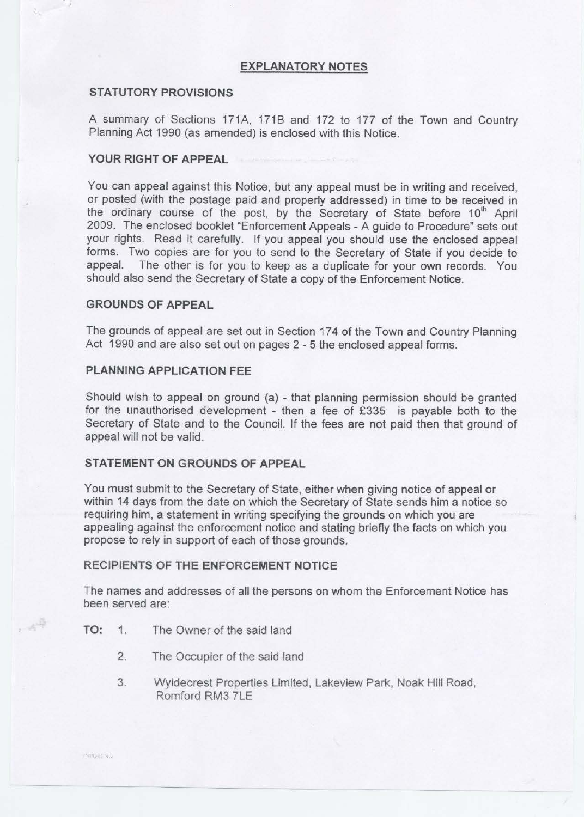#### **EXPLANATORY NOTES**

#### **STATUTORY PROVISIONS**

A summary of Sections 171A, 171B and 172 to 177 of the Town and Country Planning Act 1990 (as amended) is enclosed with this Notice.

#### **YOUR RIGHT OF APPEAL**

You can appeal against this Notice, but any appeal must be in writing and received, or posted (with the postage paid and properly addressed) in time to be received in the ordinary course of the post, by the Secretary of State before 10<sup>th</sup> April 2009. The enclosed booklet "Enforcement Appeals - A guide to Procedure" sets out your rights. Read it carefully. If you appeal you should use the enclosed appeal forms. Two copies are for you to send to the Secretary of State if you decide to appeal. The other is for you to keep as a duplicate for your own records. You should also send the Secretary of State a copy of the Enforcement Notice.

### **GROUNDS OF APPEAL**

The grounds of appeal are set out in Section 174 of the Town and Country Planning Act 1990 and are also set out on pages 2 - 5 the enclosed appeal forms.

### **PLANNING APPLICATION FEE**

Should wish to appeal on ground (a) - that planning permission should be granted for the unauthorised development - then a fee of £335 is payable both to the Secretary of State and to the Council. If the fees are not paid then that ground of appeal will not be valid.

## **STATEMENT ON GROUNDS OF APPEAL**

You must submit to the Secretary of State, either when giving notice of appeal or within 14 days from the date on which the Secretary of State sends him a notice so requiring him, a statement in writing specifying the grounds on which you are appealing against the enforcement notice and stating briefly the facts on which you propose to rely in support of each of those grounds.

#### **RECIPIENTS OF THE ENFORCEMENT NOTICE**

The names and addresses of all the persons on whom the Enforcement Notice has been served are:

- **TO:** 1. The Owner of the said land
	- 2. The Occupier of the said land
	- 3. Wyldecrest Properties Limited, Lakeview Park, Noak Hill Road, Romford RM3 ?LE

, 44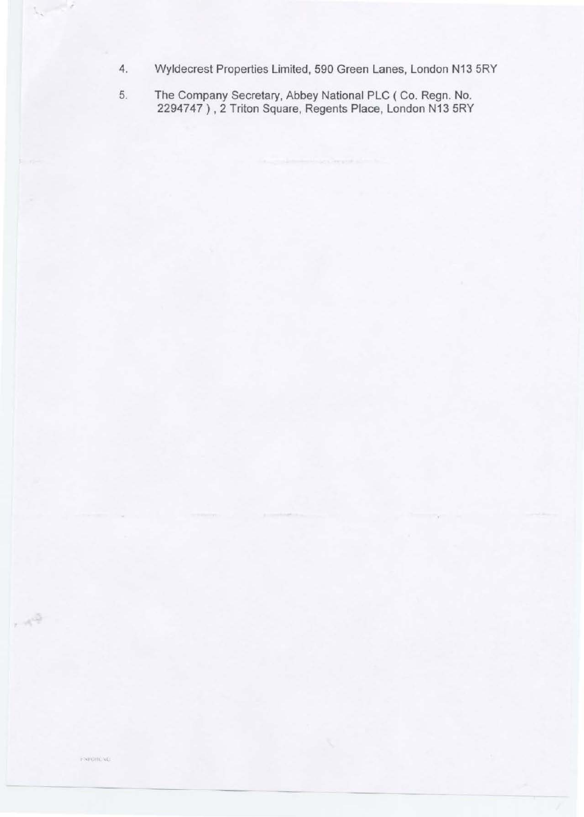- 4. Wyldecrest Properties Limited, 590 Green Lanes, London N13 5RY
- 5. The Company Secretary, Abbey National PLC ( Co. Regn. No. 2294747) , 2 Triton Square, Regents Place, London N13 5RY

 $\sim 10^{10}$ 

 $\lambda_{\rm c} = 1/2$